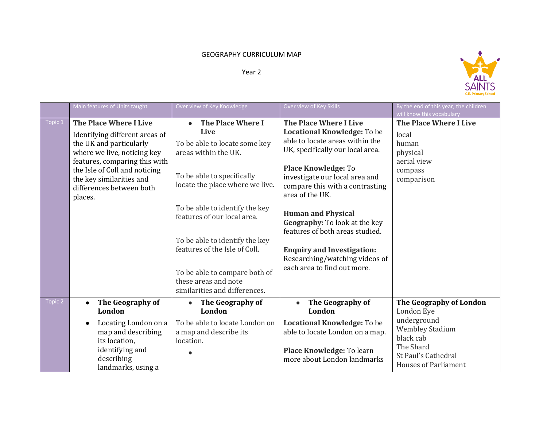## GEOGRAPHY CURRICULUM MAP

## Year 2



|         | Main features of Units taught                                                                                                                                                                                                                           | Over view of Key Knowledge                                                                                                                                                                                                                                                                                                                                                        | Over view of Key Skills                                                                                                                                                                                                                                                                                                                                                                                                                                   | By the end of this year, the children<br>will know this vocabulary                                                    |
|---------|---------------------------------------------------------------------------------------------------------------------------------------------------------------------------------------------------------------------------------------------------------|-----------------------------------------------------------------------------------------------------------------------------------------------------------------------------------------------------------------------------------------------------------------------------------------------------------------------------------------------------------------------------------|-----------------------------------------------------------------------------------------------------------------------------------------------------------------------------------------------------------------------------------------------------------------------------------------------------------------------------------------------------------------------------------------------------------------------------------------------------------|-----------------------------------------------------------------------------------------------------------------------|
| Topic 1 | The Place Where I Live<br>Identifying different areas of<br>the UK and particularly<br>where we live, noticing key<br>features, comparing this with<br>the Isle of Coll and noticing<br>the key similarities and<br>differences between both<br>places. | The Place Where I<br>Live<br>To be able to locate some key<br>areas within the UK.<br>To be able to specifically<br>locate the place where we live.<br>To be able to identify the key<br>features of our local area.<br>To be able to identify the key<br>features of the Isle of Coll.<br>To be able to compare both of<br>these areas and note<br>similarities and differences. | The Place Where I Live<br>Locational Knowledge: To be<br>able to locate areas within the<br>UK, specifically our local area.<br><b>Place Knowledge: To</b><br>investigate our local area and<br>compare this with a contrasting<br>area of the UK.<br><b>Human and Physical</b><br>Geography: To look at the key<br>features of both areas studied.<br><b>Enquiry and Investigation:</b><br>Researching/watching videos of<br>each area to find out more. | The Place Where I Live<br>local<br>human<br>physical<br>aerial view<br>compass<br>comparison                          |
| Topic 2 | The Geography of<br>$\bullet$<br>London                                                                                                                                                                                                                 | The Geography of<br>London                                                                                                                                                                                                                                                                                                                                                        | The Geography of<br>London                                                                                                                                                                                                                                                                                                                                                                                                                                | The Geography of London<br>London Eye                                                                                 |
|         | Locating London on a<br>$\bullet$<br>map and describing<br>its location,<br>identifying and<br>describing<br>landmarks, using a                                                                                                                         | To be able to locate London on<br>a map and describe its<br>location.                                                                                                                                                                                                                                                                                                             | Locational Knowledge: To be<br>able to locate London on a map.<br>Place Knowledge: To learn<br>more about London landmarks                                                                                                                                                                                                                                                                                                                                | underground<br><b>Wembley Stadium</b><br>black cab<br>The Shard<br>St Paul's Cathedral<br><b>Houses of Parliament</b> |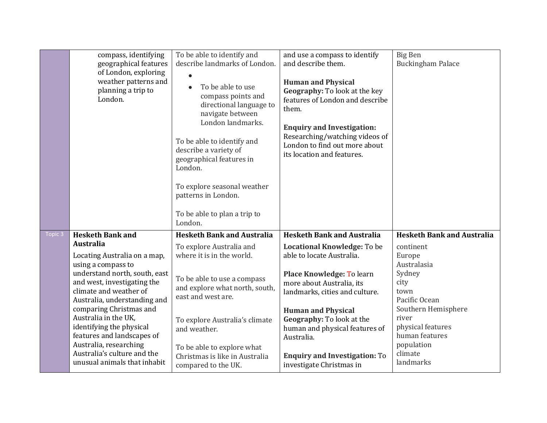|         | compass, identifying<br>geographical features<br>of London, exploring<br>weather patterns and<br>planning a trip to<br>London.                                                                                                                                                                                                                                                                                                    | To be able to identify and<br>describe landmarks of London.<br>$\bullet$<br>To be able to use<br>$\bullet$<br>compass points and<br>directional language to<br>navigate between<br>London landmarks.<br>To be able to identify and<br>describe a variety of<br>geographical features in<br>London.<br>To explore seasonal weather<br>patterns in London.<br>To be able to plan a trip to<br>London. | and use a compass to identify<br>and describe them.<br><b>Human and Physical</b><br>Geography: To look at the key<br>features of London and describe<br>them.<br><b>Enquiry and Investigation:</b><br>Researching/watching videos of<br>London to find out more about<br>its location and features.                                                                     | Big Ben<br><b>Buckingham Palace</b>                                                                                                                                                                                             |
|---------|-----------------------------------------------------------------------------------------------------------------------------------------------------------------------------------------------------------------------------------------------------------------------------------------------------------------------------------------------------------------------------------------------------------------------------------|-----------------------------------------------------------------------------------------------------------------------------------------------------------------------------------------------------------------------------------------------------------------------------------------------------------------------------------------------------------------------------------------------------|-------------------------------------------------------------------------------------------------------------------------------------------------------------------------------------------------------------------------------------------------------------------------------------------------------------------------------------------------------------------------|---------------------------------------------------------------------------------------------------------------------------------------------------------------------------------------------------------------------------------|
| Topic 3 | <b>Hesketh Bank and</b><br><b>Australia</b><br>Locating Australia on a map,<br>using a compass to<br>understand north, south, east<br>and west, investigating the<br>climate and weather of<br>Australia, understanding and<br>comparing Christmas and<br>Australia in the UK,<br>identifying the physical<br>features and landscapes of<br>Australia, researching<br>Australia's culture and the<br>unusual animals that inhabit | <b>Hesketh Bank and Australia</b><br>To explore Australia and<br>where it is in the world.<br>To be able to use a compass<br>and explore what north, south,<br>east and west are.<br>To explore Australia's climate<br>and weather.<br>To be able to explore what<br>Christmas is like in Australia<br>compared to the UK.                                                                          | <b>Hesketh Bank and Australia</b><br>Locational Knowledge: To be<br>able to locate Australia.<br>Place Knowledge: To learn<br>more about Australia, its<br>landmarks, cities and culture.<br><b>Human and Physical</b><br>Geography: To look at the<br>human and physical features of<br>Australia.<br><b>Enquiry and Investigation: To</b><br>investigate Christmas in | <b>Hesketh Bank and Australia</b><br>continent<br>Europe<br>Australasia<br>Sydney<br>city<br>town<br>Pacific Ocean<br>Southern Hemisphere<br>river<br>physical features<br>human features<br>population<br>climate<br>landmarks |